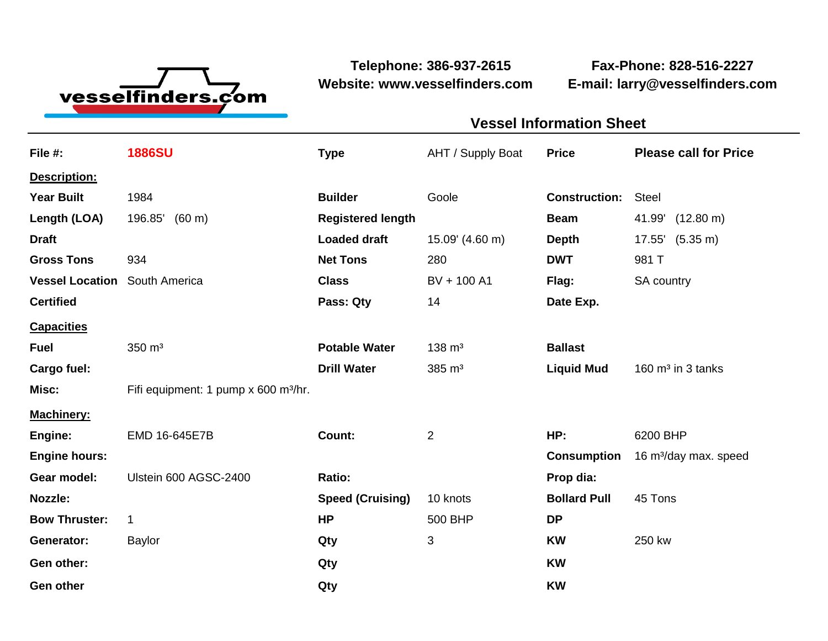

**Website: www.vesselfinders.com E-mail: larry@vesselfinders.com**

**Telephone: 386-937-2615 Fax-Phone: 828-516-2227**

| <b>Vessel Information Sheet</b>                                                                              |                                               |
|--------------------------------------------------------------------------------------------------------------|-----------------------------------------------|
|                                                                                                              | AHT / Supply Boat Price Please call for Price |
|                                                                                                              |                                               |
| <b>Construction: Steel</b><br><b>Builder</b> Goole                                                           |                                               |
|                                                                                                              | Beam 41.99' (12.80 m)                         |
| <b>Loaded draft</b> $15.09' (4.60 m)$ <b>Depth</b> $17.55' (5.35 m)$<br><b>Net Tons</b> 280 <b>DWT</b> 981 T |                                               |
| Class BV + 100 A1 Flag: SA country                                                                           |                                               |
| Pass: Qty 14 Date Exp.                                                                                       |                                               |
|                                                                                                              |                                               |
| Potable Water 138 m <sup>3</sup> Ballast                                                                     |                                               |
| Drill Water $385 \text{ m}^3$                                                                                | Liquid Mud 160 m <sup>3</sup> in 3 tanks      |
|                                                                                                              |                                               |
| HP: 6200 BHP                                                                                                 |                                               |
|                                                                                                              | Consumption 16 m <sup>3</sup> /day max. speed |
| Prop dia:                                                                                                    |                                               |
| <b>Bollard Pull</b> 45 Tons<br>10 knots<br>500 BHP                                                           |                                               |
| <b>KW</b> 250 kw                                                                                             |                                               |
|                                                                                                              |                                               |
|                                                                                                              |                                               |